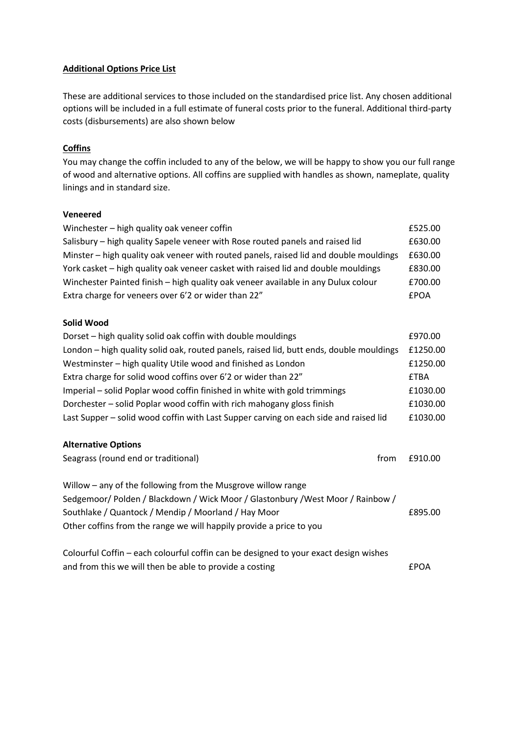### **Additional Options Price List**

These are additional services to those included on the standardised price list. Any chosen additional options will be included in a full estimate of funeral costs prior to the funeral. Additional third-party costs (disbursements) are also shown below

## **Coffins**

You may change the coffin included to any of the below, we will be happy to show you our full range of wood and alternative options. All coffins are supplied with handles as shown, nameplate, quality linings and in standard size.

#### **Veneered**

| Winchester - high quality oak veneer coffin<br>£525.00                                |         |
|---------------------------------------------------------------------------------------|---------|
| Salisbury – high quality Sapele veneer with Rose routed panels and raised lid         | £630.00 |
| Minster – high quality oak veneer with routed panels, raised lid and double mouldings | £630.00 |
| York casket – high quality oak veneer casket with raised lid and double mouldings     | £830.00 |
| Winchester Painted finish - high quality oak veneer available in any Dulux colour     | £700.00 |
| Extra charge for veneers over 6'2 or wider than 22"<br><b>EPOA</b>                    |         |

### **Solid Wood**

| Dorset - high quality solid oak coffin with double mouldings                            | £970.00     |
|-----------------------------------------------------------------------------------------|-------------|
| London – high quality solid oak, routed panels, raised lid, butt ends, double mouldings | £1250.00    |
| Westminster – high quality Utile wood and finished as London                            | £1250.00    |
| Extra charge for solid wood coffins over 6'2 or wider than 22"                          | <b>£TBA</b> |
| Imperial – solid Poplar wood coffin finished in white with gold trimmings               | £1030.00    |
| Dorchester – solid Poplar wood coffin with rich mahogany gloss finish                   | £1030.00    |
| Last Supper – solid wood coffin with Last Supper carving on each side and raised lid    | £1030.00    |
|                                                                                         |             |

#### **Alternative Options**

| Seagrass (round end or traditional)                                                  | from | £910.00 |
|--------------------------------------------------------------------------------------|------|---------|
| Willow – any of the following from the Musgrove willow range                         |      |         |
| Sedgemoor/Polden/Blackdown/Wick Moor/Glastonbury/West Moor/Rainbow/                  |      |         |
| Southlake / Quantock / Mendip / Moorland / Hay Moor                                  |      | £895.00 |
| Other coffins from the range we will happily provide a price to you                  |      |         |
|                                                                                      |      |         |
| Colourful Coffin – each colourful coffin can be designed to your exact design wishes |      |         |

Colourful Coffin – each colourful coffin can be designed to your exact design wishes and from this we will then be able to provide a costing EPOA